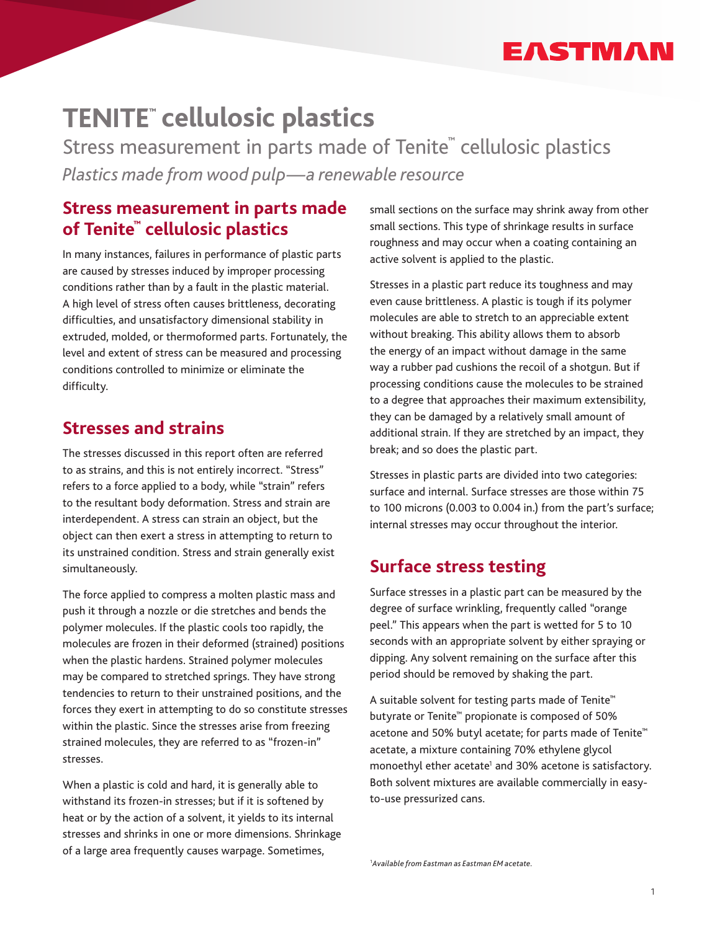# EASTMAN

# **cellulosic plastics**

Stress measurement in parts made of Tenite**™** cellulosic plastics *Plastics made from wood pulp—a renewable resource*

## **Stress measurement in parts made of Tenite™ cellulosic plastics**

In many instances, failures in performance of plastic parts are caused by stresses induced by improper processing conditions rather than by a fault in the plastic material. A high level of stress often causes brittleness, decorating difficulties, and unsatisfactory dimensional stability in extruded, molded, or thermoformed parts. Fortunately, the level and extent of stress can be measured and processing conditions controlled to minimize or eliminate the difficulty.

## **Stresses and strains**

The stresses discussed in this report often are referred to as strains, and this is not entirely incorrect. "Stress" refers to a force applied to a body, while "strain" refers to the resultant body deformation. Stress and strain are interdependent. A stress can strain an object, but the object can then exert a stress in attempting to return to its unstrained condition. Stress and strain generally exist simultaneously.

The force applied to compress a molten plastic mass and push it through a nozzle or die stretches and bends the polymer molecules. If the plastic cools too rapidly, the molecules are frozen in their deformed (strained) positions when the plastic hardens. Strained polymer molecules may be compared to stretched springs. They have strong tendencies to return to their unstrained positions, and the forces they exert in attempting to do so constitute stresses within the plastic. Since the stresses arise from freezing strained molecules, they are referred to as "frozen-in" stresses.

When a plastic is cold and hard, it is generally able to withstand its frozen-in stresses; but if it is softened by heat or by the action of a solvent, it yields to its internal stresses and shrinks in one or more dimensions. Shrinkage of a large area frequently causes warpage. Sometimes,

small sections on the surface may shrink away from other small sections. This type of shrinkage results in surface roughness and may occur when a coating containing an active solvent is applied to the plastic.

Stresses in a plastic part reduce its toughness and may even cause brittleness. A plastic is tough if its polymer molecules are able to stretch to an appreciable extent without breaking. This ability allows them to absorb the energy of an impact without damage in the same way a rubber pad cushions the recoil of a shotgun. But if processing conditions cause the molecules to be strained to a degree that approaches their maximum extensibility, they can be damaged by a relatively small amount of additional strain. If they are stretched by an impact, they break; and so does the plastic part.

Stresses in plastic parts are divided into two categories: surface and internal. Surface stresses are those within 75 to 100 microns (0.003 to 0.004 in.) from the part's surface; internal stresses may occur throughout the interior.

## **Surface stress testing**

Surface stresses in a plastic part can be measured by the degree of surface wrinkling, frequently called "orange peel." This appears when the part is wetted for 5 to 10 seconds with an appropriate solvent by either spraying or dipping. Any solvent remaining on the surface after this period should be removed by shaking the part.

A suitable solvent for testing parts made of Tenite™ butyrate or Tenite™ propionate is composed of 50% acetone and 50% butyl acetate; for parts made of Tenite™ acetate, a mixture containing 70% ethylene glycol monoethyl ether acetate<sup>1</sup> and 30% acetone is satisfactory. Both solvent mixtures are available commercially in easyto-use pressurized cans.

1*Available from Eastman as Eastman EM acetate.*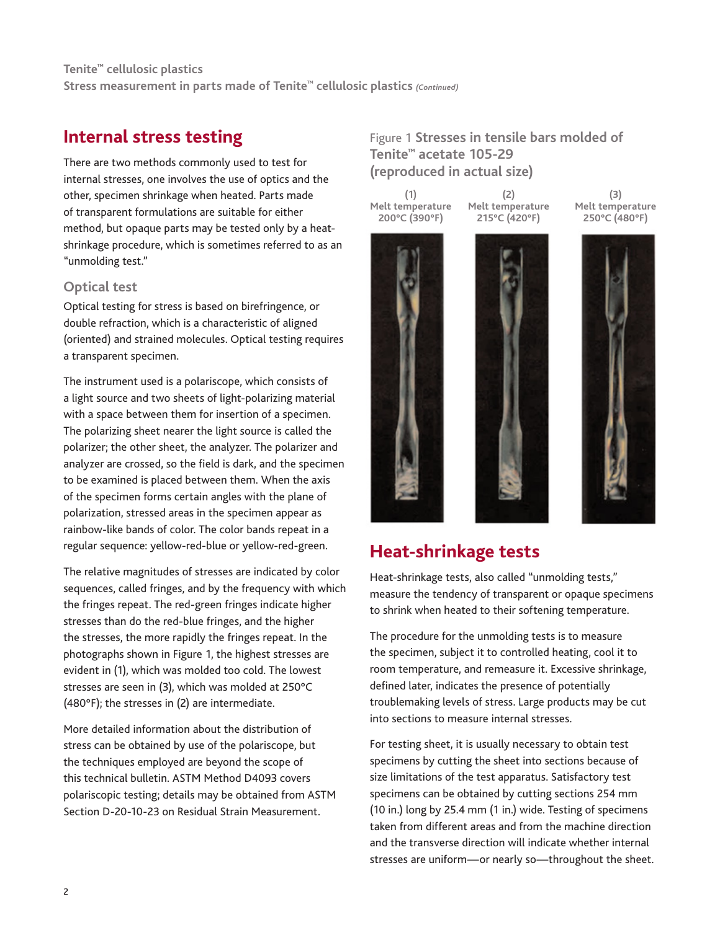## **Internal stress testing**

There are two methods commonly used to test for internal stresses, one involves the use of optics and the other, specimen shrinkage when heated. Parts made of transparent formulations are suitable for either method, but opaque parts may be tested only by a heatshrinkage procedure, which is sometimes referred to as an "unmolding test."

## **Optical test**

Optical testing for stress is based on birefringence, or double refraction, which is a characteristic of aligned (oriented) and strained molecules. Optical testing requires a transparent specimen.

The instrument used is a polariscope, which consists of a light source and two sheets of light-polarizing material with a space between them for insertion of a specimen. The polarizing sheet nearer the light source is called the polarizer; the other sheet, the analyzer. The polarizer and analyzer are crossed, so the field is dark, and the specimen to be examined is placed between them. When the axis of the specimen forms certain angles with the plane of polarization, stressed areas in the specimen appear as rainbow-like bands of color. The color bands repeat in a regular sequence: yellow-red-blue or yellow-red-green.

The relative magnitudes of stresses are indicated by color sequences, called fringes, and by the frequency with which the fringes repeat. The red-green fringes indicate higher stresses than do the red-blue fringes, and the higher the stresses, the more rapidly the fringes repeat. In the photographs shown in Figure 1, the highest stresses are evident in (1), which was molded too cold. The lowest stresses are seen in (3), which was molded at 250°C (480°F); the stresses in (2) are intermediate.

More detailed information about the distribution of stress can be obtained by use of the polariscope, but the techniques employed are beyond the scope of this technical bulletin. ASTM Method D4093 covers polariscopic testing; details may be obtained from ASTM Section D-20-10-23 on Residual Strain Measurement.

Figure 1 **Stresses in tensile bars molded of Tenite™ acetate 105-29 (reproduced in actual size)**

**(1) Melt temperature 200°C (390°F)**

**(2) Melt temperature 215°C (420°F)**



**(3) Melt temperature 250°C (480°F)**



## **Heat-shrinkage tests**

Heat-shrinkage tests, also called "unmolding tests," measure the tendency of transparent or opaque specimens to shrink when heated to their softening temperature.

The procedure for the unmolding tests is to measure the specimen, subject it to controlled heating, cool it to room temperature, and remeasure it. Excessive shrinkage, defined later, indicates the presence of potentially troublemaking levels of stress. Large products may be cut into sections to measure internal stresses.

For testing sheet, it is usually necessary to obtain test specimens by cutting the sheet into sections because of size limitations of the test apparatus. Satisfactory test specimens can be obtained by cutting sections 254 mm (10 in.) long by 25.4 mm (1 in.) wide. Testing of specimens taken from different areas and from the machine direction and the transverse direction will indicate whether internal stresses are uniform—or nearly so—throughout the sheet.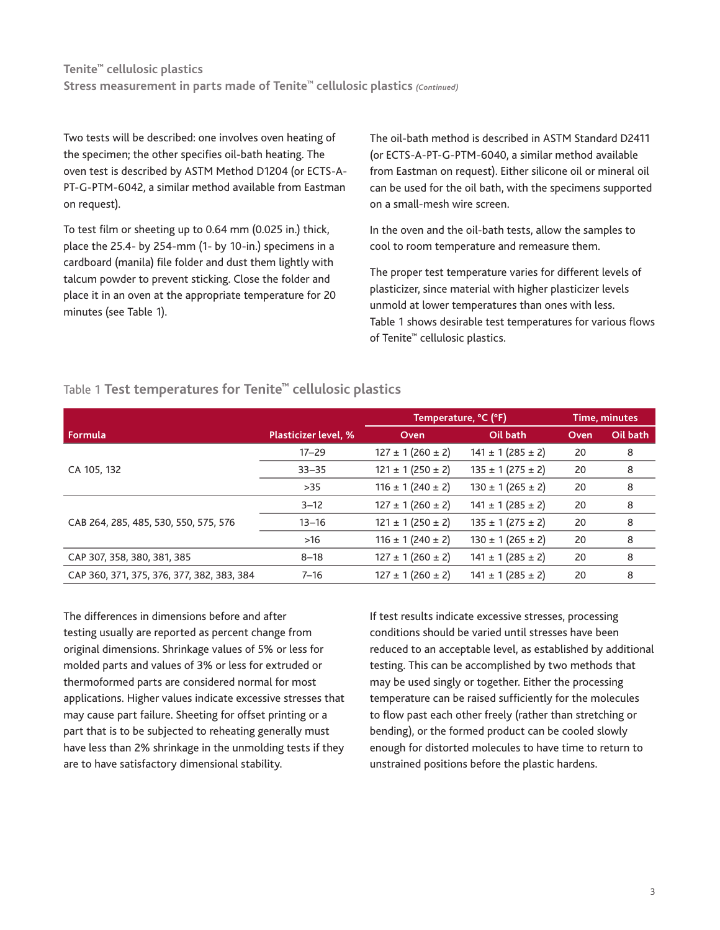Two tests will be described: one involves oven heating of the specimen; the other specifies oil-bath heating. The oven test is described by ASTM Method D1204 (or ECTS-A-PT-G-PTM-6042, a similar method available from Eastman on request).

To test film or sheeting up to 0.64 mm (0.025 in.) thick, place the 25.4- by 254-mm (1- by 10-in.) specimens in a cardboard (manila) file folder and dust them lightly with talcum powder to prevent sticking. Close the folder and place it in an oven at the appropriate temperature for 20 minutes (see Table 1).

The oil-bath method is described in ASTM Standard D2411 (or ECTS-A-PT-G-PTM-6040, a similar method available from Eastman on request). Either silicone oil or mineral oil can be used for the oil bath, with the specimens supported on a small-mesh wire screen.

In the oven and the oil-bath tests, allow the samples to cool to room temperature and remeasure them.

The proper test temperature varies for different levels of plasticizer, since material with higher plasticizer levels unmold at lower temperatures than ones with less. Table 1 shows desirable test temperatures for various flows of Tenite™ cellulosic plastics.

|                                            |                             | Temperature, °C (°F)    |                         | Time, minutes |          |
|--------------------------------------------|-----------------------------|-------------------------|-------------------------|---------------|----------|
| Formula                                    | <b>Plasticizer level, %</b> | Oven                    | Oil bath                | Oven          | Oil bath |
|                                            | $17 - 29$                   | $127 \pm 1 (260 \pm 2)$ | $141 \pm 1 (285 \pm 2)$ | 20            | 8        |
| CA 105, 132                                | $33 - 35$                   | $121 \pm 1 (250 \pm 2)$ | $135 \pm 1 (275 \pm 2)$ | 20            | 8        |
|                                            | $>35$                       | $116 \pm 1 (240 \pm 2)$ | $130 \pm 1 (265 \pm 2)$ | 20            | 8        |
|                                            | $3 - 12$                    | $127 \pm 1 (260 \pm 2)$ | $141 \pm 1 (285 \pm 2)$ | 20            | 8        |
| CAB 264, 285, 485, 530, 550, 575, 576      | $13 - 16$                   | $121 \pm 1 (250 \pm 2)$ | $135 \pm 1 (275 \pm 2)$ | 20            | 8        |
|                                            | $>16$                       | $116 \pm 1 (240 \pm 2)$ | $130 \pm 1 (265 \pm 2)$ | 20            | 8        |
| CAP 307, 358, 380, 381, 385                | $8 - 18$                    | $127 \pm 1 (260 \pm 2)$ | $141 \pm 1 (285 \pm 2)$ | 20            | 8        |
| CAP 360, 371, 375, 376, 377, 382, 383, 384 | $7 - 16$                    | $127 \pm 1 (260 \pm 2)$ | $141 \pm 1 (285 \pm 2)$ | 20            | 8        |

## Table 1 **Test temperatures for Tenite™ cellulosic plastics**

The differences in dimensions before and after testing usually are reported as percent change from original dimensions. Shrinkage values of 5% or less for molded parts and values of 3% or less for extruded or thermoformed parts are considered normal for most applications. Higher values indicate excessive stresses that may cause part failure. Sheeting for offset printing or a part that is to be subjected to reheating generally must have less than 2% shrinkage in the unmolding tests if they are to have satisfactory dimensional stability.

If test results indicate excessive stresses, processing conditions should be varied until stresses have been reduced to an acceptable level, as established by additional testing. This can be accomplished by two methods that may be used singly or together. Either the processing temperature can be raised sufficiently for the molecules to flow past each other freely (rather than stretching or bending), or the formed product can be cooled slowly enough for distorted molecules to have time to return to unstrained positions before the plastic hardens.